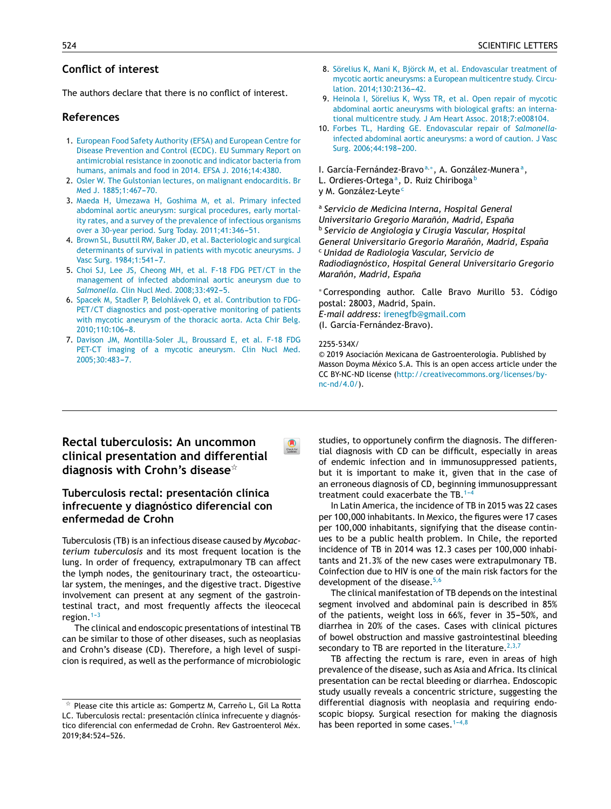### **Conflict of interest**

The authors declare that there is no conflict of interest.

#### **References**

- 1. [European](http://refhub.elsevier.com/S2255-534X(19)30013-1/sbref0055) [Food](http://refhub.elsevier.com/S2255-534X(19)30013-1/sbref0055) [Safety](http://refhub.elsevier.com/S2255-534X(19)30013-1/sbref0055) [Authority](http://refhub.elsevier.com/S2255-534X(19)30013-1/sbref0055) [\(EFSA\)](http://refhub.elsevier.com/S2255-534X(19)30013-1/sbref0055) [and](http://refhub.elsevier.com/S2255-534X(19)30013-1/sbref0055) [European](http://refhub.elsevier.com/S2255-534X(19)30013-1/sbref0055) [Centre](http://refhub.elsevier.com/S2255-534X(19)30013-1/sbref0055) [for](http://refhub.elsevier.com/S2255-534X(19)30013-1/sbref0055) [Disease](http://refhub.elsevier.com/S2255-534X(19)30013-1/sbref0055) [Prevention](http://refhub.elsevier.com/S2255-534X(19)30013-1/sbref0055) [and](http://refhub.elsevier.com/S2255-534X(19)30013-1/sbref0055) [Control](http://refhub.elsevier.com/S2255-534X(19)30013-1/sbref0055) [\(ECDC\).](http://refhub.elsevier.com/S2255-534X(19)30013-1/sbref0055) [EU](http://refhub.elsevier.com/S2255-534X(19)30013-1/sbref0055) [Summary](http://refhub.elsevier.com/S2255-534X(19)30013-1/sbref0055) [Report](http://refhub.elsevier.com/S2255-534X(19)30013-1/sbref0055) [on](http://refhub.elsevier.com/S2255-534X(19)30013-1/sbref0055) [antimicrobial](http://refhub.elsevier.com/S2255-534X(19)30013-1/sbref0055) [resistance](http://refhub.elsevier.com/S2255-534X(19)30013-1/sbref0055) [in](http://refhub.elsevier.com/S2255-534X(19)30013-1/sbref0055) [zoonotic](http://refhub.elsevier.com/S2255-534X(19)30013-1/sbref0055) [and](http://refhub.elsevier.com/S2255-534X(19)30013-1/sbref0055) [indicator](http://refhub.elsevier.com/S2255-534X(19)30013-1/sbref0055) [bacteria](http://refhub.elsevier.com/S2255-534X(19)30013-1/sbref0055) [from](http://refhub.elsevier.com/S2255-534X(19)30013-1/sbref0055) [humans,](http://refhub.elsevier.com/S2255-534X(19)30013-1/sbref0055) [animals](http://refhub.elsevier.com/S2255-534X(19)30013-1/sbref0055) [and](http://refhub.elsevier.com/S2255-534X(19)30013-1/sbref0055) [food](http://refhub.elsevier.com/S2255-534X(19)30013-1/sbref0055) [in](http://refhub.elsevier.com/S2255-534X(19)30013-1/sbref0055) [2014.](http://refhub.elsevier.com/S2255-534X(19)30013-1/sbref0055) [EFSA](http://refhub.elsevier.com/S2255-534X(19)30013-1/sbref0055) [J.](http://refhub.elsevier.com/S2255-534X(19)30013-1/sbref0055) [2016;14:4380.](http://refhub.elsevier.com/S2255-534X(19)30013-1/sbref0055)
- 2. [Osler](http://refhub.elsevier.com/S2255-534X(19)30013-1/sbref0060) [W.](http://refhub.elsevier.com/S2255-534X(19)30013-1/sbref0060) [The](http://refhub.elsevier.com/S2255-534X(19)30013-1/sbref0060) [Gulstonian](http://refhub.elsevier.com/S2255-534X(19)30013-1/sbref0060) [lectures,](http://refhub.elsevier.com/S2255-534X(19)30013-1/sbref0060) [on](http://refhub.elsevier.com/S2255-534X(19)30013-1/sbref0060) [malignant](http://refhub.elsevier.com/S2255-534X(19)30013-1/sbref0060) [endocarditis.](http://refhub.elsevier.com/S2255-534X(19)30013-1/sbref0060) [Br](http://refhub.elsevier.com/S2255-534X(19)30013-1/sbref0060) [Med](http://refhub.elsevier.com/S2255-534X(19)30013-1/sbref0060) [J.](http://refhub.elsevier.com/S2255-534X(19)30013-1/sbref0060) 1885;1:467-70.
- 3. [Maeda](http://refhub.elsevier.com/S2255-534X(19)30013-1/sbref0065) [H,](http://refhub.elsevier.com/S2255-534X(19)30013-1/sbref0065) [Umezawa](http://refhub.elsevier.com/S2255-534X(19)30013-1/sbref0065) [H,](http://refhub.elsevier.com/S2255-534X(19)30013-1/sbref0065) [Goshima](http://refhub.elsevier.com/S2255-534X(19)30013-1/sbref0065) [M,](http://refhub.elsevier.com/S2255-534X(19)30013-1/sbref0065) [et](http://refhub.elsevier.com/S2255-534X(19)30013-1/sbref0065) [al.](http://refhub.elsevier.com/S2255-534X(19)30013-1/sbref0065) [Primary](http://refhub.elsevier.com/S2255-534X(19)30013-1/sbref0065) [infected](http://refhub.elsevier.com/S2255-534X(19)30013-1/sbref0065) [abdominal](http://refhub.elsevier.com/S2255-534X(19)30013-1/sbref0065) [aortic](http://refhub.elsevier.com/S2255-534X(19)30013-1/sbref0065) [aneurysm:](http://refhub.elsevier.com/S2255-534X(19)30013-1/sbref0065) [surgical](http://refhub.elsevier.com/S2255-534X(19)30013-1/sbref0065) [procedures,](http://refhub.elsevier.com/S2255-534X(19)30013-1/sbref0065) [early](http://refhub.elsevier.com/S2255-534X(19)30013-1/sbref0065) [mortal](http://refhub.elsevier.com/S2255-534X(19)30013-1/sbref0065)[ity](http://refhub.elsevier.com/S2255-534X(19)30013-1/sbref0065) [rates,](http://refhub.elsevier.com/S2255-534X(19)30013-1/sbref0065) [and](http://refhub.elsevier.com/S2255-534X(19)30013-1/sbref0065) [a](http://refhub.elsevier.com/S2255-534X(19)30013-1/sbref0065) [survey](http://refhub.elsevier.com/S2255-534X(19)30013-1/sbref0065) [of](http://refhub.elsevier.com/S2255-534X(19)30013-1/sbref0065) [the](http://refhub.elsevier.com/S2255-534X(19)30013-1/sbref0065) [prevalence](http://refhub.elsevier.com/S2255-534X(19)30013-1/sbref0065) [of](http://refhub.elsevier.com/S2255-534X(19)30013-1/sbref0065) [infectious](http://refhub.elsevier.com/S2255-534X(19)30013-1/sbref0065) [organisms](http://refhub.elsevier.com/S2255-534X(19)30013-1/sbref0065) [over](http://refhub.elsevier.com/S2255-534X(19)30013-1/sbref0065) [a](http://refhub.elsevier.com/S2255-534X(19)30013-1/sbref0065) [30-year](http://refhub.elsevier.com/S2255-534X(19)30013-1/sbref0065) [period.](http://refhub.elsevier.com/S2255-534X(19)30013-1/sbref0065) [Surg](http://refhub.elsevier.com/S2255-534X(19)30013-1/sbref0065) [Today.](http://refhub.elsevier.com/S2255-534X(19)30013-1/sbref0065) 2011:41:346-51.
- 4. [Brown](http://refhub.elsevier.com/S2255-534X(19)30013-1/sbref0070) [SL,](http://refhub.elsevier.com/S2255-534X(19)30013-1/sbref0070) [Busuttil](http://refhub.elsevier.com/S2255-534X(19)30013-1/sbref0070) [RW,](http://refhub.elsevier.com/S2255-534X(19)30013-1/sbref0070) [Baker](http://refhub.elsevier.com/S2255-534X(19)30013-1/sbref0070) [JD,](http://refhub.elsevier.com/S2255-534X(19)30013-1/sbref0070) [et](http://refhub.elsevier.com/S2255-534X(19)30013-1/sbref0070) [al.](http://refhub.elsevier.com/S2255-534X(19)30013-1/sbref0070) [Bacteriologic](http://refhub.elsevier.com/S2255-534X(19)30013-1/sbref0070) [and](http://refhub.elsevier.com/S2255-534X(19)30013-1/sbref0070) [surgical](http://refhub.elsevier.com/S2255-534X(19)30013-1/sbref0070) [determinants](http://refhub.elsevier.com/S2255-534X(19)30013-1/sbref0070) [of](http://refhub.elsevier.com/S2255-534X(19)30013-1/sbref0070) [survival](http://refhub.elsevier.com/S2255-534X(19)30013-1/sbref0070) [in](http://refhub.elsevier.com/S2255-534X(19)30013-1/sbref0070) [patients](http://refhub.elsevier.com/S2255-534X(19)30013-1/sbref0070) [with](http://refhub.elsevier.com/S2255-534X(19)30013-1/sbref0070) [mycotic](http://refhub.elsevier.com/S2255-534X(19)30013-1/sbref0070) [aneurysms.](http://refhub.elsevier.com/S2255-534X(19)30013-1/sbref0070) [J](http://refhub.elsevier.com/S2255-534X(19)30013-1/sbref0070) [Vasc](http://refhub.elsevier.com/S2255-534X(19)30013-1/sbref0070) [Surg.](http://refhub.elsevier.com/S2255-534X(19)30013-1/sbref0070) [1984;1:541](http://refhub.elsevier.com/S2255-534X(19)30013-1/sbref0070)-[7.](http://refhub.elsevier.com/S2255-534X(19)30013-1/sbref0070)
- 5. [Choi](http://refhub.elsevier.com/S2255-534X(19)30013-1/sbref0075) [SJ,](http://refhub.elsevier.com/S2255-534X(19)30013-1/sbref0075) [Lee](http://refhub.elsevier.com/S2255-534X(19)30013-1/sbref0075) [JS,](http://refhub.elsevier.com/S2255-534X(19)30013-1/sbref0075) [Cheong](http://refhub.elsevier.com/S2255-534X(19)30013-1/sbref0075) [MH,](http://refhub.elsevier.com/S2255-534X(19)30013-1/sbref0075) [et](http://refhub.elsevier.com/S2255-534X(19)30013-1/sbref0075) [al.](http://refhub.elsevier.com/S2255-534X(19)30013-1/sbref0075) [F-18](http://refhub.elsevier.com/S2255-534X(19)30013-1/sbref0075) [FDG](http://refhub.elsevier.com/S2255-534X(19)30013-1/sbref0075) [PET/CT](http://refhub.elsevier.com/S2255-534X(19)30013-1/sbref0075) [in](http://refhub.elsevier.com/S2255-534X(19)30013-1/sbref0075) [the](http://refhub.elsevier.com/S2255-534X(19)30013-1/sbref0075) [management](http://refhub.elsevier.com/S2255-534X(19)30013-1/sbref0075) [of](http://refhub.elsevier.com/S2255-534X(19)30013-1/sbref0075) [infected](http://refhub.elsevier.com/S2255-534X(19)30013-1/sbref0075) [abdominal](http://refhub.elsevier.com/S2255-534X(19)30013-1/sbref0075) [aortic](http://refhub.elsevier.com/S2255-534X(19)30013-1/sbref0075) [aneurysm](http://refhub.elsevier.com/S2255-534X(19)30013-1/sbref0075) [due](http://refhub.elsevier.com/S2255-534X(19)30013-1/sbref0075) [to](http://refhub.elsevier.com/S2255-534X(19)30013-1/sbref0075) [Salmonella](http://refhub.elsevier.com/S2255-534X(19)30013-1/sbref0075)[.](http://refhub.elsevier.com/S2255-534X(19)30013-1/sbref0075) [Clin](http://refhub.elsevier.com/S2255-534X(19)30013-1/sbref0075) [Nucl](http://refhub.elsevier.com/S2255-534X(19)30013-1/sbref0075) [Med.](http://refhub.elsevier.com/S2255-534X(19)30013-1/sbref0075) [2008;33:492](http://refhub.elsevier.com/S2255-534X(19)30013-1/sbref0075)-[5.](http://refhub.elsevier.com/S2255-534X(19)30013-1/sbref0075)
- 6. [Spacek](http://refhub.elsevier.com/S2255-534X(19)30013-1/sbref0080) [M,](http://refhub.elsevier.com/S2255-534X(19)30013-1/sbref0080) [Stadler](http://refhub.elsevier.com/S2255-534X(19)30013-1/sbref0080) [P,](http://refhub.elsevier.com/S2255-534X(19)30013-1/sbref0080) [Belohlávek](http://refhub.elsevier.com/S2255-534X(19)30013-1/sbref0080) [O,](http://refhub.elsevier.com/S2255-534X(19)30013-1/sbref0080) [et](http://refhub.elsevier.com/S2255-534X(19)30013-1/sbref0080) [al.](http://refhub.elsevier.com/S2255-534X(19)30013-1/sbref0080) [Contribution](http://refhub.elsevier.com/S2255-534X(19)30013-1/sbref0080) [to](http://refhub.elsevier.com/S2255-534X(19)30013-1/sbref0080) [FDG-](http://refhub.elsevier.com/S2255-534X(19)30013-1/sbref0080)[PET/CT](http://refhub.elsevier.com/S2255-534X(19)30013-1/sbref0080) [diagnostics](http://refhub.elsevier.com/S2255-534X(19)30013-1/sbref0080) [and](http://refhub.elsevier.com/S2255-534X(19)30013-1/sbref0080) [post-operative](http://refhub.elsevier.com/S2255-534X(19)30013-1/sbref0080) [monitoring](http://refhub.elsevier.com/S2255-534X(19)30013-1/sbref0080) [of](http://refhub.elsevier.com/S2255-534X(19)30013-1/sbref0080) [patients](http://refhub.elsevier.com/S2255-534X(19)30013-1/sbref0080) [with](http://refhub.elsevier.com/S2255-534X(19)30013-1/sbref0080) [mycotic](http://refhub.elsevier.com/S2255-534X(19)30013-1/sbref0080) [aneurysm](http://refhub.elsevier.com/S2255-534X(19)30013-1/sbref0080) [of](http://refhub.elsevier.com/S2255-534X(19)30013-1/sbref0080) [the](http://refhub.elsevier.com/S2255-534X(19)30013-1/sbref0080) [thoracic](http://refhub.elsevier.com/S2255-534X(19)30013-1/sbref0080) [aorta.](http://refhub.elsevier.com/S2255-534X(19)30013-1/sbref0080) [Acta](http://refhub.elsevier.com/S2255-534X(19)30013-1/sbref0080) [Chir](http://refhub.elsevier.com/S2255-534X(19)30013-1/sbref0080) [Belg.](http://refhub.elsevier.com/S2255-534X(19)30013-1/sbref0080) [2010;110:106-](http://refhub.elsevier.com/S2255-534X(19)30013-1/sbref0080)[8.](http://refhub.elsevier.com/S2255-534X(19)30013-1/sbref0080)
- 7. [Davison](http://refhub.elsevier.com/S2255-534X(19)30013-1/sbref0085) [JM,](http://refhub.elsevier.com/S2255-534X(19)30013-1/sbref0085) [Montilla-Soler](http://refhub.elsevier.com/S2255-534X(19)30013-1/sbref0085) [JL,](http://refhub.elsevier.com/S2255-534X(19)30013-1/sbref0085) [Broussard](http://refhub.elsevier.com/S2255-534X(19)30013-1/sbref0085) [E,](http://refhub.elsevier.com/S2255-534X(19)30013-1/sbref0085) [et](http://refhub.elsevier.com/S2255-534X(19)30013-1/sbref0085) [al.](http://refhub.elsevier.com/S2255-534X(19)30013-1/sbref0085) [F-18](http://refhub.elsevier.com/S2255-534X(19)30013-1/sbref0085) [FDG](http://refhub.elsevier.com/S2255-534X(19)30013-1/sbref0085) [PET-CT](http://refhub.elsevier.com/S2255-534X(19)30013-1/sbref0085) [imaging](http://refhub.elsevier.com/S2255-534X(19)30013-1/sbref0085) [of](http://refhub.elsevier.com/S2255-534X(19)30013-1/sbref0085) [a](http://refhub.elsevier.com/S2255-534X(19)30013-1/sbref0085) [mycotic](http://refhub.elsevier.com/S2255-534X(19)30013-1/sbref0085) [aneurysm.](http://refhub.elsevier.com/S2255-534X(19)30013-1/sbref0085) [Clin](http://refhub.elsevier.com/S2255-534X(19)30013-1/sbref0085) [Nucl](http://refhub.elsevier.com/S2255-534X(19)30013-1/sbref0085) [Med.](http://refhub.elsevier.com/S2255-534X(19)30013-1/sbref0085) 2005;30:483-7.
- 8. [Sörelius](http://refhub.elsevier.com/S2255-534X(19)30013-1/sbref0090) [K,](http://refhub.elsevier.com/S2255-534X(19)30013-1/sbref0090) [Mani](http://refhub.elsevier.com/S2255-534X(19)30013-1/sbref0090) [K,](http://refhub.elsevier.com/S2255-534X(19)30013-1/sbref0090) [Björck](http://refhub.elsevier.com/S2255-534X(19)30013-1/sbref0090) [M,](http://refhub.elsevier.com/S2255-534X(19)30013-1/sbref0090) [et](http://refhub.elsevier.com/S2255-534X(19)30013-1/sbref0090) [al.](http://refhub.elsevier.com/S2255-534X(19)30013-1/sbref0090) [Endovascular](http://refhub.elsevier.com/S2255-534X(19)30013-1/sbref0090) [treatment](http://refhub.elsevier.com/S2255-534X(19)30013-1/sbref0090) [of](http://refhub.elsevier.com/S2255-534X(19)30013-1/sbref0090) [mycotic](http://refhub.elsevier.com/S2255-534X(19)30013-1/sbref0090) [aortic](http://refhub.elsevier.com/S2255-534X(19)30013-1/sbref0090) [aneurysms:](http://refhub.elsevier.com/S2255-534X(19)30013-1/sbref0090) [a](http://refhub.elsevier.com/S2255-534X(19)30013-1/sbref0090) [European](http://refhub.elsevier.com/S2255-534X(19)30013-1/sbref0090) [multicentre](http://refhub.elsevier.com/S2255-534X(19)30013-1/sbref0090) [study.](http://refhub.elsevier.com/S2255-534X(19)30013-1/sbref0090) [Circu](http://refhub.elsevier.com/S2255-534X(19)30013-1/sbref0090)[lation.](http://refhub.elsevier.com/S2255-534X(19)30013-1/sbref0090) 2014:130:2136-42.
- 9. [Heinola](http://refhub.elsevier.com/S2255-534X(19)30013-1/sbref0095) [I,](http://refhub.elsevier.com/S2255-534X(19)30013-1/sbref0095) [Sörelius](http://refhub.elsevier.com/S2255-534X(19)30013-1/sbref0095) [K,](http://refhub.elsevier.com/S2255-534X(19)30013-1/sbref0095) [Wyss](http://refhub.elsevier.com/S2255-534X(19)30013-1/sbref0095) [TR,](http://refhub.elsevier.com/S2255-534X(19)30013-1/sbref0095) [et](http://refhub.elsevier.com/S2255-534X(19)30013-1/sbref0095) [al.](http://refhub.elsevier.com/S2255-534X(19)30013-1/sbref0095) [Open](http://refhub.elsevier.com/S2255-534X(19)30013-1/sbref0095) [repair](http://refhub.elsevier.com/S2255-534X(19)30013-1/sbref0095) [of](http://refhub.elsevier.com/S2255-534X(19)30013-1/sbref0095) [mycotic](http://refhub.elsevier.com/S2255-534X(19)30013-1/sbref0095) [abdominal](http://refhub.elsevier.com/S2255-534X(19)30013-1/sbref0095) [aortic](http://refhub.elsevier.com/S2255-534X(19)30013-1/sbref0095) [aneurysms](http://refhub.elsevier.com/S2255-534X(19)30013-1/sbref0095) [with](http://refhub.elsevier.com/S2255-534X(19)30013-1/sbref0095) [biological](http://refhub.elsevier.com/S2255-534X(19)30013-1/sbref0095) [grafts:](http://refhub.elsevier.com/S2255-534X(19)30013-1/sbref0095) [an](http://refhub.elsevier.com/S2255-534X(19)30013-1/sbref0095) [interna](http://refhub.elsevier.com/S2255-534X(19)30013-1/sbref0095)[tional](http://refhub.elsevier.com/S2255-534X(19)30013-1/sbref0095) [multicentre](http://refhub.elsevier.com/S2255-534X(19)30013-1/sbref0095) [study.](http://refhub.elsevier.com/S2255-534X(19)30013-1/sbref0095) [J](http://refhub.elsevier.com/S2255-534X(19)30013-1/sbref0095) [Am](http://refhub.elsevier.com/S2255-534X(19)30013-1/sbref0095) [Heart](http://refhub.elsevier.com/S2255-534X(19)30013-1/sbref0095) [Assoc.](http://refhub.elsevier.com/S2255-534X(19)30013-1/sbref0095) [2018;7:e008104.](http://refhub.elsevier.com/S2255-534X(19)30013-1/sbref0095)
- 10. [Forbes](http://refhub.elsevier.com/S2255-534X(19)30013-1/sbref0100) [TL,](http://refhub.elsevier.com/S2255-534X(19)30013-1/sbref0100) [Harding](http://refhub.elsevier.com/S2255-534X(19)30013-1/sbref0100) [GE.](http://refhub.elsevier.com/S2255-534X(19)30013-1/sbref0100) [Endovascular](http://refhub.elsevier.com/S2255-534X(19)30013-1/sbref0100) [repair](http://refhub.elsevier.com/S2255-534X(19)30013-1/sbref0100) [of](http://refhub.elsevier.com/S2255-534X(19)30013-1/sbref0100) *[Salmonella](http://refhub.elsevier.com/S2255-534X(19)30013-1/sbref0100)*[infected](http://refhub.elsevier.com/S2255-534X(19)30013-1/sbref0100) [abdominal](http://refhub.elsevier.com/S2255-534X(19)30013-1/sbref0100) [aortic](http://refhub.elsevier.com/S2255-534X(19)30013-1/sbref0100) [aneurysms:](http://refhub.elsevier.com/S2255-534X(19)30013-1/sbref0100) [a](http://refhub.elsevier.com/S2255-534X(19)30013-1/sbref0100) [word](http://refhub.elsevier.com/S2255-534X(19)30013-1/sbref0100) [of](http://refhub.elsevier.com/S2255-534X(19)30013-1/sbref0100) [caution.](http://refhub.elsevier.com/S2255-534X(19)30013-1/sbref0100) [J](http://refhub.elsevier.com/S2255-534X(19)30013-1/sbref0100) [Vasc](http://refhub.elsevier.com/S2255-534X(19)30013-1/sbref0100) [Surg.](http://refhub.elsevier.com/S2255-534X(19)30013-1/sbref0100) 2006;44:198-200.
- I. García-Fernández-Bravo<sup>a,</sup>\*, A. González-Munera<sup>a</sup>,
- L. Ordieres-Ortega<sup>a</sup>, D. Ruiz Chiriboga<sup>b</sup>
- y M. González-Leyte<sup>c</sup>

a *Servicio de Medicina Interna, Hospital General Universitario Gregorio Maranón, ˜ Madrid, Espana˜* b *Servicio de Angiología y Cirugía Vascular, Hospital General Universitario Gregorio Maranón, ˜ Madrid, Espana˜* <sup>c</sup> *Unidad de Radiología Vascular, Servicio de Radiodiagnóstico, Hospital General Universitario Gregorio Maranón, ˜ Madrid, Espana˜*

<sup>∗</sup> Corresponding author. Calle Bravo Murillo 53. Código postal: 28003, Madrid, Spain. *E-mail address:* [irenegfb@gmail.com](mailto:irenegfb@gmail.com) (I. García-Fernández-Bravo).

#### 2255-534X/

© 2019 Asociación Mexicana de Gastroenterología. Published by Masson Doyma México S.A. This is an open access article under the CC BY-NC-ND license [\(http://creativecommons.org/licenses/by](http://creativecommons.org/licenses/by-nc-nd/4.0/)[nc-nd/4.0/\)](http://creativecommons.org/licenses/by-nc-nd/4.0/).

# **Rectal tuberculosis: An uncommon clinical presentation and differential diagnosis with Crohn's disease**-

## **Tuberculosis rectal: presentación clínica infrecuente y diagnóstico diferencial con enfermedad de Crohn**

Tuberculosis (TB) is an infectious disease caused by *Mycobacterium tuberculosis* and its most frequent location is the lung. In order of frequency, extrapulmonary TB can affect the lymph nodes, the genitourinary tract, the osteoarticular system, the meninges, and the digestive tract. Digestive involvement can present at any segment of the gastrointestinal tract, and most frequently affects the ileocecal region. $1-3$ 

The clinical and endoscopic presentations of intestinal TB can be similar to those of other diseases, such as neoplasias and Crohn's disease (CD). Therefore, a high level of suspicion is required, as well as the performance of microbiologic studies, to opportunely confirm the diagnosis. The differential diagnosis with CD can be difficult, especially in areas of endemic infection and in immunosuppressed patients, but it is important to make it, given that in the case of an erroneous diagnosis of CD, beginning immunosuppressant treatment could exacerbate the  $TB.1-$ 

In Latin America, the incidence of TB in 2015 was 22 cases per 100,000 inhabitants. In Mexico, the figures were 17 cases per 100,000 inhabitants, signifying that the disease continues to be a public health problem. In Chile, the reported incidence of TB in 2014 was 12.3 cases per 100,000 inhabitants and 21.3% of the new cases were extrapulmonary TB. Coinfection due to HIV is one of the main risk factors for the development of the disease.<sup>[5,6](#page-2-0)</sup>

The clinical manifestation of TB depends on the intestinal segment involved and abdominal pain is described in 85% of the patients, weight loss in 66%, fever in 35-50%, and diarrhea in 20% of the cases. Cases with clinical pictures of bowel obstruction and massive gastrointestinal bleeding secondary to TB are reported in the literature.  $2,3,7$ 

TB affecting the rectum is rare, even in areas of high prevalence of the disease, such as Asia and Africa. Its clinical presentation can be rectal bleeding or diarrhea. Endoscopic study usually reveals a concentric stricture, suggesting the differential diagnosis with neoplasia and requiring endoscopic biopsy. Surgical resection for making the diagnosis has been reported in some cases.  $1-4,8$ 

 $\overline{\mathbf{r}}$  Please cite this article as: Gompertz M, Carreño L, Gil La Rotta LC. Tuberculosis rectal: presentación clínica infrecuente y diagnóstico diferencial con enfermedad de Crohn. Rev Gastroenterol Méx. 2019;84:524-526.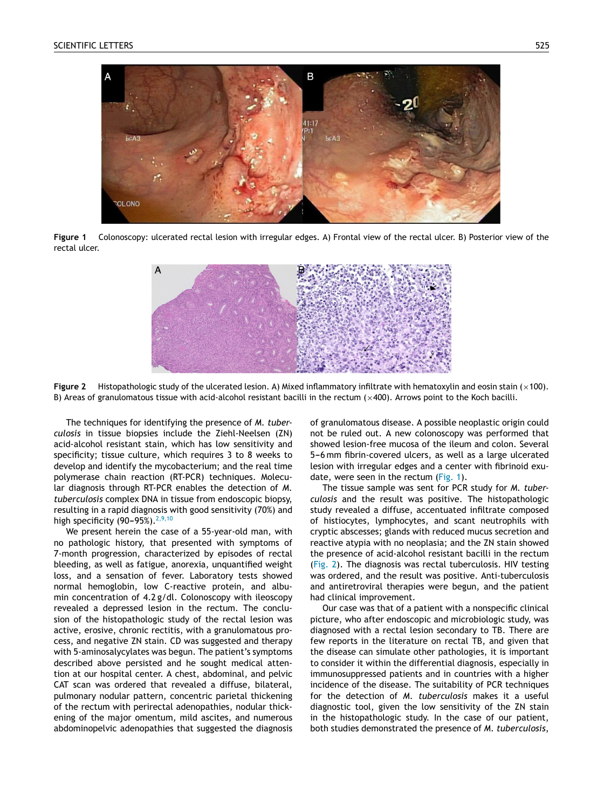

**Figure 1** Colonoscopy: ulcerated rectal lesion with irregular edges. A) Frontal view of the rectal ulcer. B) Posterior view of the rectal ulcer.



**Figure 2** Histopathologic study of the ulcerated lesion. A) Mixed inflammatory infiltrate with hematoxylin and eosin stain (×100). B) Areas of granulomatous tissue with acid-alcohol resistant bacilli in the rectum  $(x400)$ . Arrows point to the Koch bacilli.

The techniques for identifying the presence of *M. tuberculosis* in tissue biopsies include the Ziehl-Neelsen (ZN) acid-alcohol resistant stain, which has low sensitivity and specificity; tissue culture, which requires 3 to 8 weeks to develop and identify the mycobacterium; and the real time polymerase chain reaction (RT-PCR) techniques. Molecular diagnosis through RT-PCR enables the detection of *M. tuberculosis* complex DNA in tissue from endoscopic biopsy, resulting in a rapid diagnosis with good sensitivity (70%) and high specificity  $(90-95\%)$ .<sup>[2,9,10](#page-2-0)</sup>

We present herein the case of a 55-year-old man, with no pathologic history, that presented with symptoms of 7-month progression, characterized by episodes of rectal bleeding, as well as fatigue, anorexia, unquantified weight loss, and a sensation of fever. Laboratory tests showed normal hemoglobin, low C-reactive protein, and albumin concentration of 4.2 g/dl. Colonoscopy with ileoscopy revealed a depressed lesion in the rectum. The conclusion of the histopathologic study of the rectal lesion was active, erosive, chronic rectitis, with a granulomatous process, and negative ZN stain. CD was suggested and therapy with 5-aminosalycylates was begun. The patient's symptoms described above persisted and he sought medical attention at our hospital center. A chest, abdominal, and pelvic CAT scan was ordered that revealed a diffuse, bilateral, pulmonary nodular pattern, concentric parietal thickening of the rectum with perirectal adenopathies, nodular thickening of the major omentum, mild ascites, and numerous abdominopelvic adenopathies that suggested the diagnosis of granulomatous disease. A possible neoplastic origin could not be ruled out. A new colonoscopy was performed that showed lesion-free mucosa of the ileum and colon. Several 5-6 mm fibrin-covered ulcers, as well as a large ulcerated lesion with irregular edges and a center with fibrinoid exudate, were seen in the rectum (Fig. 1).

The tissue sample was sent for PCR study for *M. tuberculosis* and the result was positive. The histopathologic study revealed a diffuse, accentuated infiltrate composed of histiocytes, lymphocytes, and scant neutrophils with cryptic abscesses; glands with reduced mucus secretion and reactive atypia with no neoplasia; and the ZN stain showed the presence of acid-alcohol resistant bacilli in the rectum (Fig. 2). The diagnosis was rectal tuberculosis. HIV testing was ordered, and the result was positive. Anti-tuberculosis and antiretroviral therapies were begun, and the patient had clinical improvement.

Our case was that of a patient with a nonspecific clinical picture, who after endoscopic and microbiologic study, was diagnosed with a rectal lesion secondary to TB. There are few reports in the literature on rectal TB, and given that the disease can simulate other pathologies, it is important to consider it within the differential diagnosis, especially in immunosuppressed patients and in countries with a higher incidence of the disease. The suitability of PCR techniques for the detection of *M. tuberculosis* makes it a useful diagnostic tool, given the low sensitivity of the ZN stain in the histopathologic study. In the case of our patient, both studies demonstrated the presence of *M. tuberculosis*,